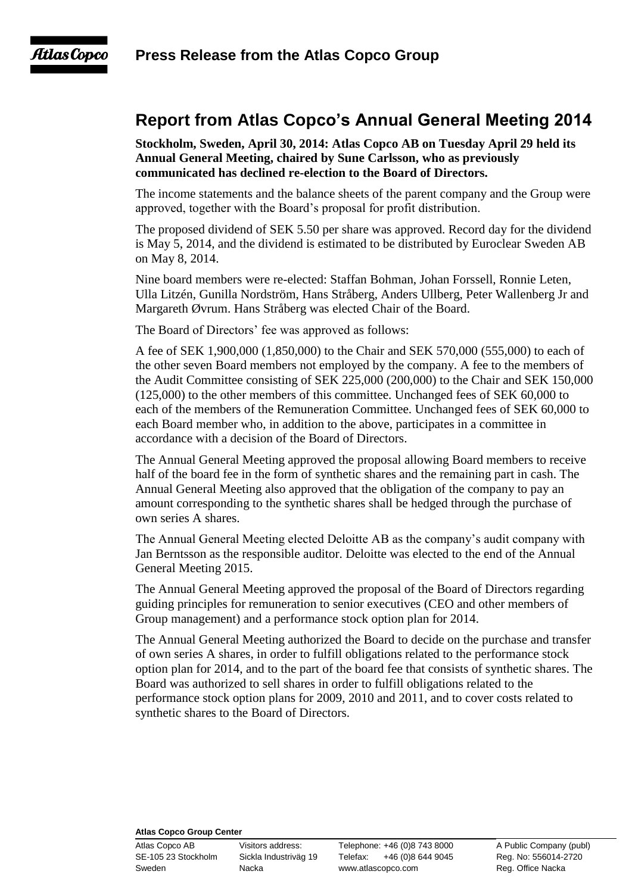## Atlas Copco

## **Report from Atlas Copco's Annual General Meeting 2014**

**Stockholm, Sweden, April 30, 2014: Atlas Copco AB on Tuesday April 29 held its Annual General Meeting, chaired by Sune Carlsson, who as previously communicated has declined re-election to the Board of Directors.**

The income statements and the balance sheets of the parent company and the Group were approved, together with the Board's proposal for profit distribution.

The proposed dividend of SEK 5.50 per share was approved. Record day for the dividend is May 5, 2014, and the dividend is estimated to be distributed by Euroclear Sweden AB on May 8, 2014.

Nine board members were re-elected: Staffan Bohman, Johan Forssell, Ronnie Leten, Ulla Litzén, Gunilla Nordström, Hans Stråberg, Anders Ullberg, Peter Wallenberg Jr and Margareth Øvrum. Hans Stråberg was elected Chair of the Board.

The Board of Directors' fee was approved as follows:

A fee of SEK 1,900,000 (1,850,000) to the Chair and SEK 570,000 (555,000) to each of the other seven Board members not employed by the company. A fee to the members of the Audit Committee consisting of SEK 225,000 (200,000) to the Chair and SEK 150,000 (125,000) to the other members of this committee. Unchanged fees of SEK 60,000 to each of the members of the Remuneration Committee. Unchanged fees of SEK 60,000 to each Board member who, in addition to the above, participates in a committee in accordance with a decision of the Board of Directors.

The Annual General Meeting approved the proposal allowing Board members to receive half of the board fee in the form of synthetic shares and the remaining part in cash. The Annual General Meeting also approved that the obligation of the company to pay an amount corresponding to the synthetic shares shall be hedged through the purchase of own series A shares.

The Annual General Meeting elected Deloitte AB as the company's audit company with Jan Berntsson as the responsible auditor. Deloitte was elected to the end of the Annual General Meeting 2015.

The Annual General Meeting approved the proposal of the Board of Directors regarding guiding principles for remuneration to senior executives (CEO and other members of Group management) and a performance stock option plan for 2014.

The Annual General Meeting authorized the Board to decide on the purchase and transfer of own series A shares, in order to fulfill obligations related to the performance stock option plan for 2014, and to the part of the board fee that consists of synthetic shares. The Board was authorized to sell shares in order to fulfill obligations related to the performance stock option plans for 2009, 2010 and 2011, and to cover costs related to synthetic shares to the Board of Directors.

## **Atlas Copco Group Center**

Atlas Copco AB Visitors address: Telephone: +46 (0)8 743 8000 A Public Company (publ) SE-105 23 Stockholm Sickla Industriväg 19 Telefax: +46 (0)8 644 9045 Reg. No: 556014-2720 Sweden **Nacka** Nacka www.atlascopco.com Reg. Office Nacka